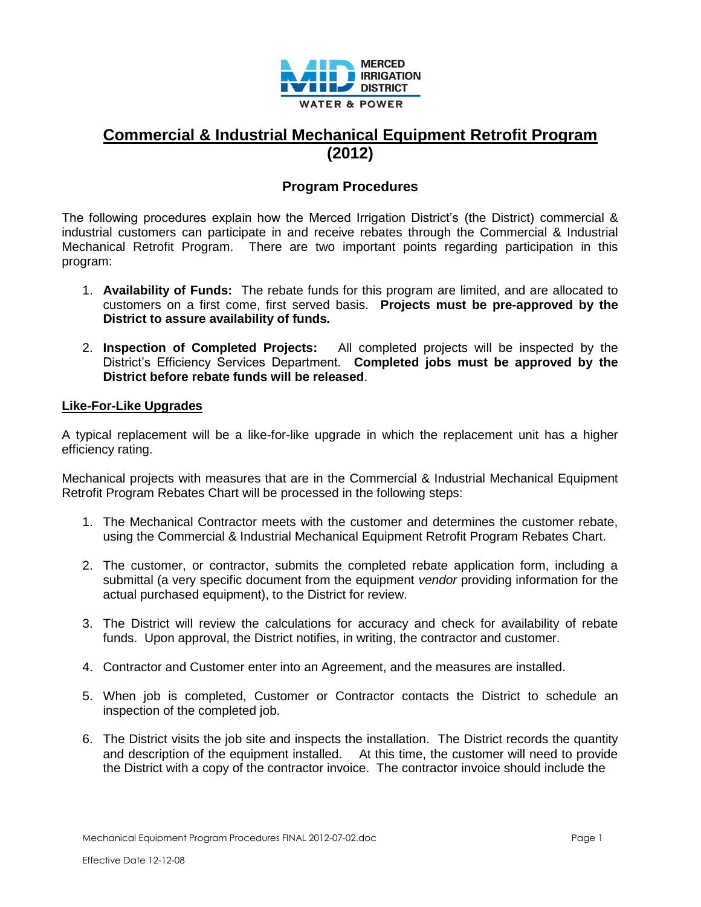

## **Commercial & Industrial Mechanical Equipment Retrofit Program (2012)**

## **Program Procedures**

The following procedures explain how the Merced Irrigation District's (the District) commercial & industrial customers can participate in and receive rebates through the Commercial & Industrial Mechanical Retrofit Program. There are two important points regarding participation in this program:

- 1. **Availability of Funds:** The rebate funds for this program are limited, and are allocated to customers on a first come, first served basis. **Projects must be pre-approved by the District to assure availability of funds***.*
- 2. **Inspection of Completed Projects:** All completed projects will be inspected by the District's Efficiency Services Department. **Completed jobs must be approved by the District before rebate funds will be released**.

## **Like-For-Like Upgrades**

A typical replacement will be a like-for-like upgrade in which the replacement unit has a higher efficiency rating.

Mechanical projects with measures that are in the Commercial & Industrial Mechanical Equipment Retrofit Program Rebates Chart will be processed in the following steps:

- 1. The Mechanical Contractor meets with the customer and determines the customer rebate, using the Commercial & Industrial Mechanical Equipment Retrofit Program Rebates Chart.
- 2. The customer, or contractor, submits the completed rebate application form, including a submittal (a very specific document from the equipment *vendor* providing information for the actual purchased equipment), to the District for review.
- 3. The District will review the calculations for accuracy and check for availability of rebate funds. Upon approval, the District notifies, in writing, the contractor and customer.
- 4. Contractor and Customer enter into an Agreement, and the measures are installed.
- 5. When job is completed, Customer or Contractor contacts the District to schedule an inspection of the completed job.
- 6. The District visits the job site and inspects the installation. The District records the quantity and description of the equipment installed. At this time, the customer will need to provide the District with a copy of the contractor invoice. The contractor invoice should include the